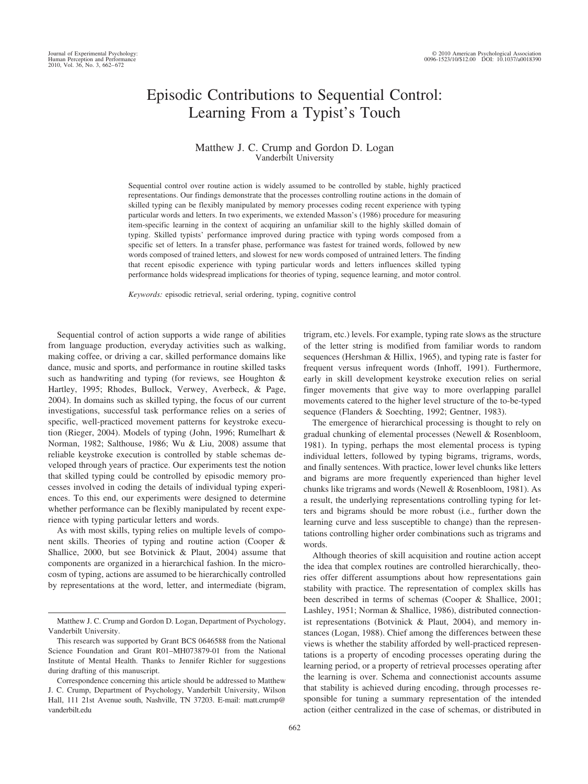# Episodic Contributions to Sequential Control: Learning From a Typist's Touch

## Matthew J. C. Crump and Gordon D. Logan Vanderbilt University

Sequential control over routine action is widely assumed to be controlled by stable, highly practiced representations. Our findings demonstrate that the processes controlling routine actions in the domain of skilled typing can be flexibly manipulated by memory processes coding recent experience with typing particular words and letters. In two experiments, we extended Masson's (1986) procedure for measuring item-specific learning in the context of acquiring an unfamiliar skill to the highly skilled domain of typing. Skilled typists' performance improved during practice with typing words composed from a specific set of letters. In a transfer phase, performance was fastest for trained words, followed by new words composed of trained letters, and slowest for new words composed of untrained letters. The finding that recent episodic experience with typing particular words and letters influences skilled typing performance holds widespread implications for theories of typing, sequence learning, and motor control.

*Keywords:* episodic retrieval, serial ordering, typing, cognitive control

Sequential control of action supports a wide range of abilities from language production, everyday activities such as walking, making coffee, or driving a car, skilled performance domains like dance, music and sports, and performance in routine skilled tasks such as handwriting and typing (for reviews, see Houghton & Hartley, 1995; Rhodes, Bullock, Verwey, Averbeck, & Page, 2004). In domains such as skilled typing, the focus of our current investigations, successful task performance relies on a series of specific, well-practiced movement patterns for keystroke execution (Rieger, 2004). Models of typing (John, 1996; Rumelhart & Norman, 1982; Salthouse, 1986; Wu & Liu, 2008) assume that reliable keystroke execution is controlled by stable schemas developed through years of practice. Our experiments test the notion that skilled typing could be controlled by episodic memory processes involved in coding the details of individual typing experiences. To this end, our experiments were designed to determine whether performance can be flexibly manipulated by recent experience with typing particular letters and words.

As with most skills, typing relies on multiple levels of component skills. Theories of typing and routine action (Cooper & Shallice, 2000, but see Botvinick & Plaut, 2004) assume that components are organized in a hierarchical fashion. In the microcosm of typing, actions are assumed to be hierarchically controlled by representations at the word, letter, and intermediate (bigram,

Lashley, 1951; Norman & Shallice, 1986), distributed connectionist representations (Botvinick & Plaut, 2004), and memory in-

stances (Logan, 1988). Chief among the differences between these views is whether the stability afforded by well-practiced representations is a property of encoding processes operating during the learning period, or a property of retrieval processes operating after the learning is over. Schema and connectionist accounts assume that stability is achieved during encoding, through processes responsible for tuning a summary representation of the intended action (either centralized in the case of schemas, or distributed in

trigram, etc.) levels. For example, typing rate slows as the structure of the letter string is modified from familiar words to random sequences (Hershman & Hillix, 1965), and typing rate is faster for frequent versus infrequent words (Inhoff, 1991). Furthermore, early in skill development keystroke execution relies on serial finger movements that give way to more overlapping parallel movements catered to the higher level structure of the to-be-typed sequence (Flanders & Soechting, 1992; Gentner, 1983).

The emergence of hierarchical processing is thought to rely on gradual chunking of elemental processes (Newell & Rosenbloom, 1981). In typing, perhaps the most elemental process is typing individual letters, followed by typing bigrams, trigrams, words, and finally sentences. With practice, lower level chunks like letters and bigrams are more frequently experienced than higher level chunks like trigrams and words (Newell & Rosenbloom, 1981). As a result, the underlying representations controlling typing for letters and bigrams should be more robust (i.e., further down the learning curve and less susceptible to change) than the representations controlling higher order combinations such as trigrams and words.

Although theories of skill acquisition and routine action accept the idea that complex routines are controlled hierarchically, theories offer different assumptions about how representations gain stability with practice. The representation of complex skills has been described in terms of schemas (Cooper & Shallice, 2001;

Matthew J. C. Crump and Gordon D. Logan, Department of Psychology, Vanderbilt University.

This research was supported by Grant BCS 0646588 from the National Science Foundation and Grant R01–MH073879-01 from the National Institute of Mental Health. Thanks to Jennifer Richler for suggestions during drafting of this manuscript.

Correspondence concerning this article should be addressed to Matthew J. C. Crump, Department of Psychology, Vanderbilt University, Wilson Hall, 111 21st Avenue south, Nashville, TN 37203. E-mail: matt.crump@ vanderbilt.edu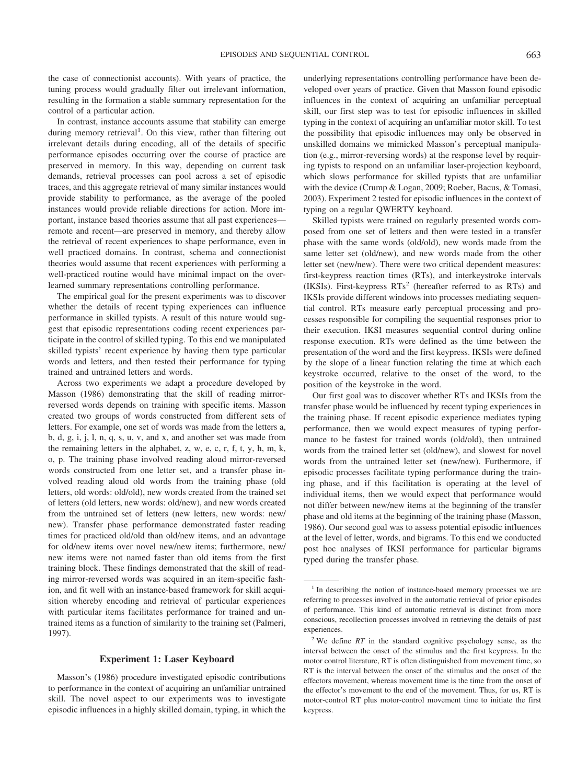the case of connectionist accounts). With years of practice, the tuning process would gradually filter out irrelevant information, resulting in the formation a stable summary representation for the control of a particular action.

In contrast, instance accounts assume that stability can emerge during memory retrieval<sup>1</sup>. On this view, rather than filtering out irrelevant details during encoding, all of the details of specific performance episodes occurring over the course of practice are preserved in memory. In this way, depending on current task demands, retrieval processes can pool across a set of episodic traces, and this aggregate retrieval of many similar instances would provide stability to performance, as the average of the pooled instances would provide reliable directions for action. More important, instance based theories assume that all past experiences remote and recent—are preserved in memory, and thereby allow the retrieval of recent experiences to shape performance, even in well practiced domains. In contrast, schema and connectionist theories would assume that recent experiences with performing a well-practiced routine would have minimal impact on the overlearned summary representations controlling performance.

The empirical goal for the present experiments was to discover whether the details of recent typing experiences can influence performance in skilled typists. A result of this nature would suggest that episodic representations coding recent experiences participate in the control of skilled typing. To this end we manipulated skilled typists' recent experience by having them type particular words and letters, and then tested their performance for typing trained and untrained letters and words.

Across two experiments we adapt a procedure developed by Masson (1986) demonstrating that the skill of reading mirrorreversed words depends on training with specific items. Masson created two groups of words constructed from different sets of letters. For example, one set of words was made from the letters a, b, d, g, i, j, l, n, q, s, u, v, and x, and another set was made from the remaining letters in the alphabet, z, w, e, c, r, f, t, y, h, m, k, o, p. The training phase involved reading aloud mirror-reversed words constructed from one letter set, and a transfer phase involved reading aloud old words from the training phase (old letters, old words: old/old), new words created from the trained set of letters (old letters, new words: old/new), and new words created from the untrained set of letters (new letters, new words: new/ new). Transfer phase performance demonstrated faster reading times for practiced old/old than old/new items, and an advantage for old/new items over novel new/new items; furthermore, new/ new items were not named faster than old items from the first training block. These findings demonstrated that the skill of reading mirror-reversed words was acquired in an item-specific fashion, and fit well with an instance-based framework for skill acquisition whereby encoding and retrieval of particular experiences with particular items facilitates performance for trained and untrained items as a function of similarity to the training set (Palmeri, 1997).

## **Experiment 1: Laser Keyboard**

Masson's (1986) procedure investigated episodic contributions to performance in the context of acquiring an unfamiliar untrained skill. The novel aspect to our experiments was to investigate episodic influences in a highly skilled domain, typing, in which the underlying representations controlling performance have been developed over years of practice. Given that Masson found episodic influences in the context of acquiring an unfamiliar perceptual skill, our first step was to test for episodic influences in skilled typing in the context of acquiring an unfamiliar motor skill. To test the possibility that episodic influences may only be observed in unskilled domains we mimicked Masson's perceptual manipulation (e.g., mirror-reversing words) at the response level by requiring typists to respond on an unfamiliar laser-projection keyboard, which slows performance for skilled typists that are unfamiliar with the device (Crump & Logan, 2009; Roeber, Bacus, & Tomasi, 2003). Experiment 2 tested for episodic influences in the context of typing on a regular QWERTY keyboard.

Skilled typists were trained on regularly presented words composed from one set of letters and then were tested in a transfer phase with the same words (old/old), new words made from the same letter set (old/new), and new words made from the other letter set (new/new). There were two critical dependent measures: first-keypress reaction times (RTs), and interkeystroke intervals (IKSIs). First-keypress RTs2 (hereafter referred to as RTs) and IKSIs provide different windows into processes mediating sequential control. RTs measure early perceptual processing and processes responsible for compiling the sequential responses prior to their execution. IKSI measures sequential control during online response execution. RTs were defined as the time between the presentation of the word and the first keypress. IKSIs were defined by the slope of a linear function relating the time at which each keystroke occurred, relative to the onset of the word, to the position of the keystroke in the word.

Our first goal was to discover whether RTs and IKSIs from the transfer phase would be influenced by recent typing experiences in the training phase. If recent episodic experience mediates typing performance, then we would expect measures of typing performance to be fastest for trained words (old/old), then untrained words from the trained letter set (old/new), and slowest for novel words from the untrained letter set (new/new). Furthermore, if episodic processes facilitate typing performance during the training phase, and if this facilitation is operating at the level of individual items, then we would expect that performance would not differ between new/new items at the beginning of the transfer phase and old items at the beginning of the training phase (Masson, 1986). Our second goal was to assess potential episodic influences at the level of letter, words, and bigrams. To this end we conducted post hoc analyses of IKSI performance for particular bigrams typed during the transfer phase.

<sup>&</sup>lt;sup>1</sup> In describing the notion of instance-based memory processes we are referring to processes involved in the automatic retrieval of prior episodes of performance. This kind of automatic retrieval is distinct from more conscious, recollection processes involved in retrieving the details of past experiences.

<sup>2</sup> We define *RT* in the standard cognitive psychology sense, as the interval between the onset of the stimulus and the first keypress. In the motor control literature, RT is often distinguished from movement time, so RT is the interval between the onset of the stimulus and the onset of the effectors movement, whereas movement time is the time from the onset of the effector's movement to the end of the movement. Thus, for us, RT is motor-control RT plus motor-control movement time to initiate the first keypress.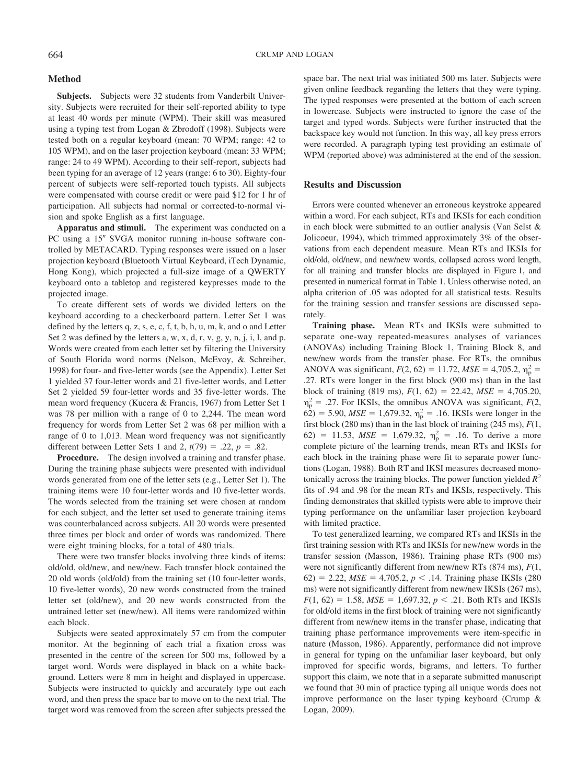# **Method**

**Subjects.** Subjects were 32 students from Vanderbilt University. Subjects were recruited for their self-reported ability to type at least 40 words per minute (WPM). Their skill was measured using a typing test from Logan & Zbrodoff (1998). Subjects were tested both on a regular keyboard (mean: 70 WPM; range: 42 to 105 WPM), and on the laser projection keyboard (mean: 33 WPM; range: 24 to 49 WPM). According to their self-report, subjects had been typing for an average of 12 years (range: 6 to 30). Eighty-four percent of subjects were self-reported touch typists. All subjects were compensated with course credit or were paid \$12 for 1 hr of participation. All subjects had normal or corrected-to-normal vision and spoke English as a first language.

**Apparatus and stimuli.** The experiment was conducted on a PC using a 15" SVGA monitor running in-house software controlled by METACARD. Typing responses were issued on a laser projection keyboard (Bluetooth Virtual Keyboard, iTech Dynamic, Hong Kong), which projected a full-size image of a QWERTY keyboard onto a tabletop and registered keypresses made to the projected image.

To create different sets of words we divided letters on the keyboard according to a checkerboard pattern. Letter Set 1 was defined by the letters q, z, s, e, c, f, t, b, h, u, m, k, and o and Letter Set 2 was defined by the letters a, w, x, d, r, v, g, y, n, j, i, l, and p. Words were created from each letter set by filtering the University of South Florida word norms (Nelson, McEvoy, & Schreiber, 1998) for four- and five-letter words (see the Appendix). Letter Set 1 yielded 37 four-letter words and 21 five-letter words, and Letter Set 2 yielded 59 four-letter words and 35 five-letter words. The mean word frequency (Kucera & Francis, 1967) from Letter Set 1 was 78 per million with a range of 0 to 2,244. The mean word frequency for words from Letter Set 2 was 68 per million with a range of 0 to 1,013. Mean word frequency was not significantly different between Letter Sets 1 and 2,  $t(79) = .22$ ,  $p = .82$ .

**Procedure.** The design involved a training and transfer phase. During the training phase subjects were presented with individual words generated from one of the letter sets (e.g., Letter Set 1). The training items were 10 four-letter words and 10 five-letter words. The words selected from the training set were chosen at random for each subject, and the letter set used to generate training items was counterbalanced across subjects. All 20 words were presented three times per block and order of words was randomized. There were eight training blocks, for a total of 480 trials.

There were two transfer blocks involving three kinds of items: old/old, old/new, and new/new. Each transfer block contained the 20 old words (old/old) from the training set (10 four-letter words, 10 five-letter words), 20 new words constructed from the trained letter set (old/new), and 20 new words constructed from the untrained letter set (new/new). All items were randomized within each block.

Subjects were seated approximately 57 cm from the computer monitor. At the beginning of each trial a fixation cross was presented in the centre of the screen for 500 ms, followed by a target word. Words were displayed in black on a white background. Letters were 8 mm in height and displayed in uppercase. Subjects were instructed to quickly and accurately type out each word, and then press the space bar to move on to the next trial. The target word was removed from the screen after subjects pressed the space bar. The next trial was initiated 500 ms later. Subjects were given online feedback regarding the letters that they were typing. The typed responses were presented at the bottom of each screen in lowercase. Subjects were instructed to ignore the case of the target and typed words. Subjects were further instructed that the backspace key would not function. In this way, all key press errors were recorded. A paragraph typing test providing an estimate of WPM (reported above) was administered at the end of the session.

#### **Results and Discussion**

Errors were counted whenever an erroneous keystroke appeared within a word. For each subject, RTs and IKSIs for each condition in each block were submitted to an outlier analysis (Van Selst & Jolicoeur, 1994), which trimmed approximately 3% of the observations from each dependent measure. Mean RTs and IKSIs for old/old, old/new, and new/new words, collapsed across word length, for all training and transfer blocks are displayed in Figure 1, and presented in numerical format in Table 1. Unless otherwise noted, an alpha criterion of .05 was adopted for all statistical tests. Results for the training session and transfer sessions are discussed separately.

**Training phase.** Mean RTs and IKSIs were submitted to separate one-way repeated-measures analyses of variances (ANOVAs) including Training Block 1, Training Block 8, and new/new words from the transfer phase. For RTs, the omnibus ANOVA was significant,  $F(2, 62) = 11.72$ ,  $MSE = 4,705.2$ ,  $\eta_p^2 =$ .27. RTs were longer in the first block (900 ms) than in the last block of training (819 ms),  $F(1, 62) = 22.42$ ,  $MSE = 4,705.20$ ,  $\eta_{\rm p}^2$  = .27. For IKSIs, the omnibus ANOVA was significant, *F*(2,  $(62) = 5.90, \text{MSE} = 1,679.32, \eta_p^2 = .16.$  IKSIs were longer in the first block (280 ms) than in the last block of training (245 ms), *F*(1, 62) = 11.53,  $MSE = 1,679.32, \eta_p^2 = .16$ . To derive a more complete picture of the learning trends, mean RTs and IKSIs for each block in the training phase were fit to separate power functions (Logan, 1988). Both RT and IKSI measures decreased monotonically across the training blocks. The power function yielded  $R^2$ fits of .94 and .98 for the mean RTs and IKSIs, respectively. This finding demonstrates that skilled typists were able to improve their typing performance on the unfamiliar laser projection keyboard with limited practice.

To test generalized learning, we compared RTs and IKSIs in the first training session with RTs and IKSIs for new/new words in the transfer session (Masson, 1986). Training phase RTs (900 ms) were not significantly different from new/new RTs (874 ms), *F*(1, 62) = 2.22,  $MSE = 4,705.2$ ,  $p < .14$ . Training phase IKSIs (280) ms) were not significantly different from new/new IKSIs (267 ms),  $F(1, 62) = 1.58$ ,  $MSE = 1,697.32$ ,  $p < .21$ . Both RTs and IKSIs for old/old items in the first block of training were not significantly different from new/new items in the transfer phase, indicating that training phase performance improvements were item-specific in nature (Masson, 1986). Apparently, performance did not improve in general for typing on the unfamiliar laser keyboard, but only improved for specific words, bigrams, and letters. To further support this claim, we note that in a separate submitted manuscript we found that 30 min of practice typing all unique words does not improve performance on the laser typing keyboard (Crump & Logan, 2009).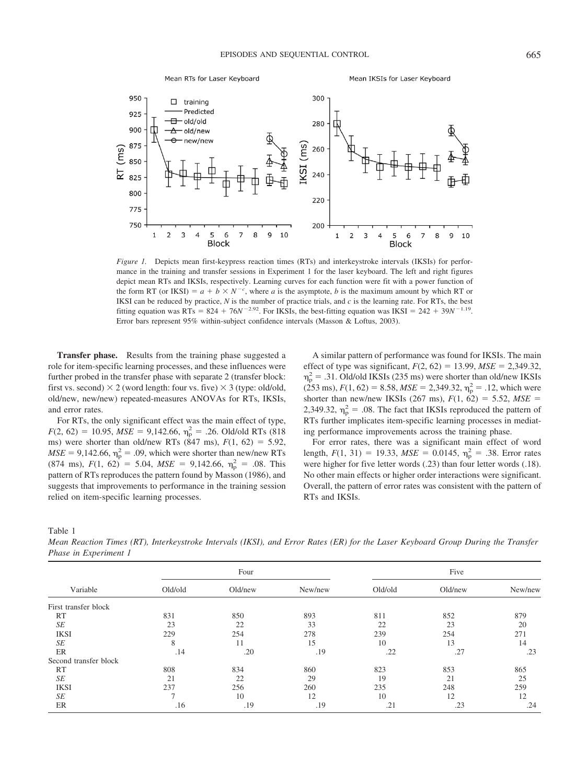





*Figure 1.* Depicts mean first-keypress reaction times (RTs) and interkeystroke intervals (IKSIs) for performance in the training and transfer sessions in Experiment 1 for the laser keyboard. The left and right figures depict mean RTs and IKSIs, respectively. Learning curves for each function were fit with a power function of the form RT (or IKSI) =  $a + b \times N^{-c}$ , where *a* is the asymptote, *b* is the maximum amount by which RT or IKSI can be reduced by practice, *N* is the number of practice trials, and *c* is the learning rate. For RTs, the best fitting equation was RTs =  $824 + 76N^{-2.92}$ . For IKSIs, the best-fitting equation was IKSI =  $242 + 39N^{-1.19}$ . Error bars represent 95% within-subject confidence intervals (Masson & Loftus, 2003).

**Transfer phase.** Results from the training phase suggested a role for item-specific learning processes, and these influences were further probed in the transfer phase with separate 2 (transfer block: first vs. second)  $\times$  2 (word length: four vs. five)  $\times$  3 (type: old/old, old/new, new/new) repeated-measures ANOVAs for RTs, IKSIs, and error rates.

For RTs, the only significant effect was the main effect of type,  $F(2, 62) = 10.95$ ,  $MSE = 9,142.66$ ,  $\eta_p^2 = .26$ . Old/old RTs (818) ms) were shorter than old/new RTs  $(847 \text{ ms})$ ,  $F(1, 62) = 5.92$ ,  $MSE = 9{,}142.66$ ,  $\eta_p^2 = .09$ , which were shorter than new/new RTs  $(874 \text{ ms}), F(1, 62) = 5.04, MSE = 9,142.66, \eta_{\text{p}}^2 = .08$ . This pattern of RTs reproduces the pattern found by Masson (1986), and suggests that improvements to performance in the training session relied on item-specific learning processes.

A similar pattern of performance was found for IKSIs. The main effect of type was significant,  $F(2, 62) = 13.99$ ,  $MSE = 2,349.32$ ,  $\eta_{\rm p}^2$  = .31. Old/old IKSIs (235 ms) were shorter than old/new IKSIs  $(253 \text{ ms}), F(1, 62) = 8.58, MSE = 2,349.32, \eta_{\text{p}}^2 = .12$ , which were shorter than new/new IKSIs (267 ms),  $F(1, 62) = 5.52$ ,  $MSE =$ 2,349.32,  $\eta_p^2 = .08$ . The fact that IKSIs reproduced the pattern of RTs further implicates item-specific learning processes in mediating performance improvements across the training phase.

For error rates, there was a significant main effect of word length,  $F(1, 31) = 19.33$ ,  $MSE = 0.0145$ ,  $\eta_p^2 = .38$ . Error rates were higher for five letter words (.23) than four letter words (.18). No other main effects or higher order interactions were significant. Overall, the pattern of error rates was consistent with the pattern of RTs and IKSIs.

Table 1

*Mean Reaction Times (RT), Interkeystroke Intervals (IKSI), and Error Rates (ER) for the Laser Keyboard Group During the Transfer Phase in Experiment 1*

| Variable              | Four    |         |         | Five    |         |         |
|-----------------------|---------|---------|---------|---------|---------|---------|
|                       | Old/old | Old/new | New/new | Old/old | Old/new | New/new |
| First transfer block  |         |         |         |         |         |         |
| RT                    | 831     | 850     | 893     | 811     | 852     | 879     |
| SE                    | 23      | 22      | 33      | 22      | 23      | 20      |
| <b>IKSI</b>           | 229     | 254     | 278     | 239     | 254     | 271     |
| SE                    | 8       | 11      | 15      | 10      | 13      | 14      |
| ER                    | .14     | .20     | .19     | .22     | .27     | .23     |
| Second transfer block |         |         |         |         |         |         |
| RT                    | 808     | 834     | 860     | 823     | 853     | 865     |
| SE                    | 21      | 22      | 29      | 19      | 21      | 25      |
| <b>IKSI</b>           | 237     | 256     | 260     | 235     | 248     | 259     |
| SE                    | ⇁       | 10      | 12      | 10      | 12      | 12      |
| ER                    | .16     | .19     | .19     | .21     | .23     | .24     |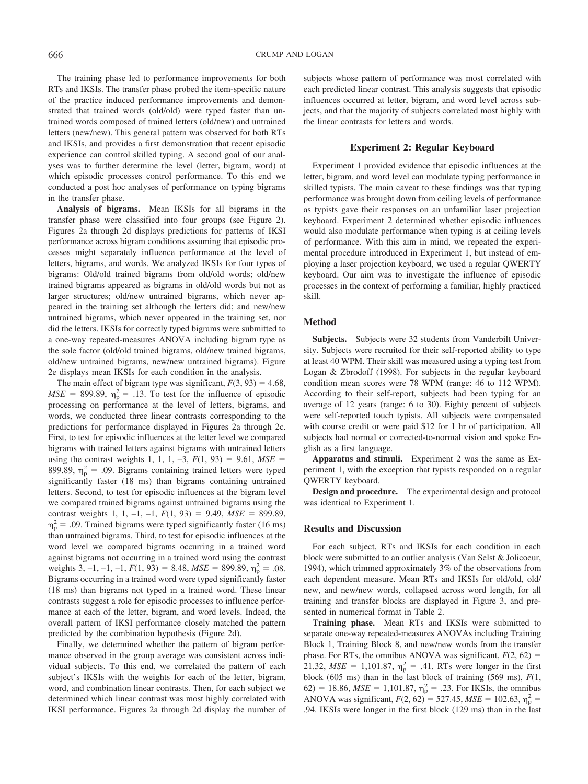The training phase led to performance improvements for both RTs and IKSIs. The transfer phase probed the item-specific nature of the practice induced performance improvements and demonstrated that trained words (old/old) were typed faster than untrained words composed of trained letters (old/new) and untrained letters (new/new). This general pattern was observed for both RTs and IKSIs, and provides a first demonstration that recent episodic experience can control skilled typing. A second goal of our analyses was to further determine the level (letter, bigram, word) at which episodic processes control performance. To this end we conducted a post hoc analyses of performance on typing bigrams in the transfer phase.

**Analysis of bigrams.** Mean IKSIs for all bigrams in the transfer phase were classified into four groups (see Figure 2). Figures 2a through 2d displays predictions for patterns of IKSI performance across bigram conditions assuming that episodic processes might separately influence performance at the level of letters, bigrams, and words. We analyzed IKSIs for four types of bigrams: Old/old trained bigrams from old/old words; old/new trained bigrams appeared as bigrams in old/old words but not as larger structures; old/new untrained bigrams, which never appeared in the training set although the letters did; and new/new untrained bigrams, which never appeared in the training set, nor did the letters. IKSIs for correctly typed bigrams were submitted to a one-way repeated-measures ANOVA including bigram type as the sole factor (old/old trained bigrams, old/new trained bigrams, old/new untrained bigrams, new/new untrained bigrams). Figure 2e displays mean IKSIs for each condition in the analysis.

The main effect of bigram type was significant,  $F(3, 93) = 4.68$ ,  $MSE = 899.89$ ,  $\eta_p^2 = .13$ . To test for the influence of episodic processing on performance at the level of letters, bigrams, and words, we conducted three linear contrasts corresponding to the predictions for performance displayed in Figures 2a through 2c. First, to test for episodic influences at the letter level we compared bigrams with trained letters against bigrams with untrained letters using the contrast weights 1, 1, 1, -3,  $F(1, 93) = 9.61$ ,  $MSE =$ 899.89,  $\eta_p^2 = .09$ . Bigrams containing trained letters were typed significantly faster (18 ms) than bigrams containing untrained letters. Second, to test for episodic influences at the bigram level we compared trained bigrams against untrained bigrams using the contrast weights 1, 1, -1, -1,  $F(1, 93) = 9.49$ ,  $MSE = 899.89$ ,  $\eta_{\rm p}^2$  = .09. Trained bigrams were typed significantly faster (16 ms) than untrained bigrams. Third, to test for episodic influences at the word level we compared bigrams occurring in a trained word against bigrams not occurring in a trained word using the contrast weights 3, -1, -1, -1,  $F(1, 93) = 8.48$ ,  $MSE = 899.89$ ,  $\eta_p^2 = .08$ . Bigrams occurring in a trained word were typed significantly faster (18 ms) than bigrams not typed in a trained word. These linear contrasts suggest a role for episodic processes to influence performance at each of the letter, bigram, and word levels. Indeed, the overall pattern of IKSI performance closely matched the pattern predicted by the combination hypothesis (Figure 2d).

Finally, we determined whether the pattern of bigram performance observed in the group average was consistent across individual subjects. To this end, we correlated the pattern of each subject's IKSIs with the weights for each of the letter, bigram, word, and combination linear contrasts. Then, for each subject we determined which linear contrast was most highly correlated with IKSI performance. Figures 2a through 2d display the number of subjects whose pattern of performance was most correlated with each predicted linear contrast. This analysis suggests that episodic influences occurred at letter, bigram, and word level across subjects, and that the majority of subjects correlated most highly with the linear contrasts for letters and words.

#### **Experiment 2: Regular Keyboard**

Experiment 1 provided evidence that episodic influences at the letter, bigram, and word level can modulate typing performance in skilled typists. The main caveat to these findings was that typing performance was brought down from ceiling levels of performance as typists gave their responses on an unfamiliar laser projection keyboard. Experiment 2 determined whether episodic influences would also modulate performance when typing is at ceiling levels of performance. With this aim in mind, we repeated the experimental procedure introduced in Experiment 1, but instead of employing a laser projection keyboard, we used a regular QWERTY keyboard. Our aim was to investigate the influence of episodic processes in the context of performing a familiar, highly practiced skill.

#### **Method**

**Subjects.** Subjects were 32 students from Vanderbilt University. Subjects were recruited for their self-reported ability to type at least 40 WPM. Their skill was measured using a typing test from Logan & Zbrodoff (1998). For subjects in the regular keyboard condition mean scores were 78 WPM (range: 46 to 112 WPM). According to their self-report, subjects had been typing for an average of 12 years (range: 6 to 30). Eighty percent of subjects were self-reported touch typists. All subjects were compensated with course credit or were paid \$12 for 1 hr of participation. All subjects had normal or corrected-to-normal vision and spoke English as a first language.

**Apparatus and stimuli.** Experiment 2 was the same as Experiment 1, with the exception that typists responded on a regular QWERTY keyboard.

**Design and procedure.** The experimental design and protocol was identical to Experiment 1.

#### **Results and Discussion**

For each subject, RTs and IKSIs for each condition in each block were submitted to an outlier analysis (Van Selst & Jolicoeur, 1994), which trimmed approximately 3% of the observations from each dependent measure. Mean RTs and IKSIs for old/old, old/ new, and new/new words, collapsed across word length, for all training and transfer blocks are displayed in Figure 3, and presented in numerical format in Table 2.

**Training phase.** Mean RTs and IKSIs were submitted to separate one-way repeated-measures ANOVAs including Training Block 1, Training Block 8, and new/new words from the transfer phase. For RTs, the omnibus ANOVA was significant,  $F(2, 62) =$ 21.32,  $MSE = 1,101.87$ ,  $\eta_p^2 = .41$ . RTs were longer in the first block (605 ms) than in the last block of training (569 ms), *F*(1, 62) = 18.86,  $MSE = 1,101.87$ ,  $\eta_p^2 = .23$ . For IKSIs, the omnibus ANOVA was significant,  $F(2, 62) = 527.45$ ,  $MSE = 102.63$ ,  $\eta_p^2 =$ .94. IKSIs were longer in the first block (129 ms) than in the last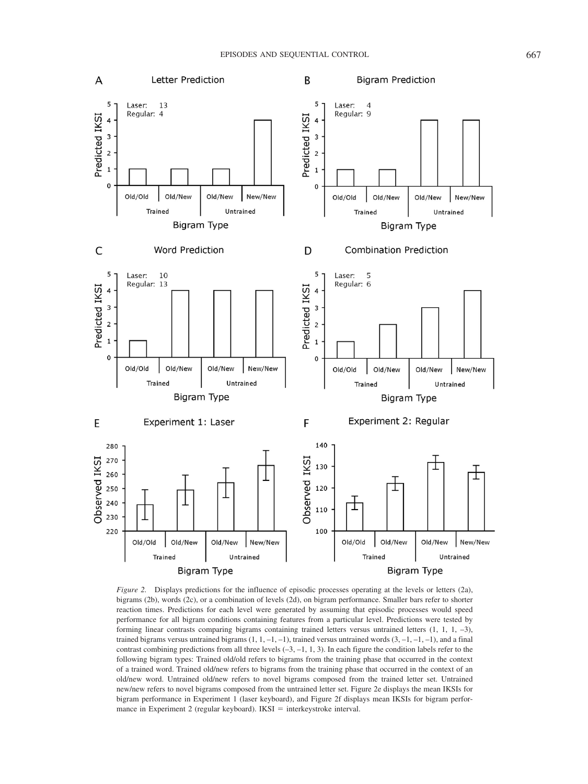

*Figure 2.* Displays predictions for the influence of episodic processes operating at the levels or letters (2a), bigrams (2b), words (2c), or a combination of levels (2d), on bigram performance. Smaller bars refer to shorter reaction times. Predictions for each level were generated by assuming that episodic processes would speed performance for all bigram conditions containing features from a particular level. Predictions were tested by forming linear contrasts comparing bigrams containing trained letters versus untrained letters  $(1, 1, 1, -3)$ , trained bigrams versus untrained bigrams  $(1, 1, -1, -1)$ , trained versus untrained words  $(3, -1, -1, -1)$ , and a final contrast combining predictions from all three levels  $(-3, -1, 1, 3)$ . In each figure the condition labels refer to the following bigram types: Trained old/old refers to bigrams from the training phase that occurred in the context of a trained word. Trained old/new refers to bigrams from the training phase that occurred in the context of an old/new word. Untrained old/new refers to novel bigrams composed from the trained letter set. Untrained new/new refers to novel bigrams composed from the untrained letter set. Figure 2e displays the mean IKSIs for bigram performance in Experiment 1 (laser keyboard), and Figure 2f displays mean IKSIs for bigram performance in Experiment 2 (regular keyboard).  $IKSI =$  interkeystroke interval.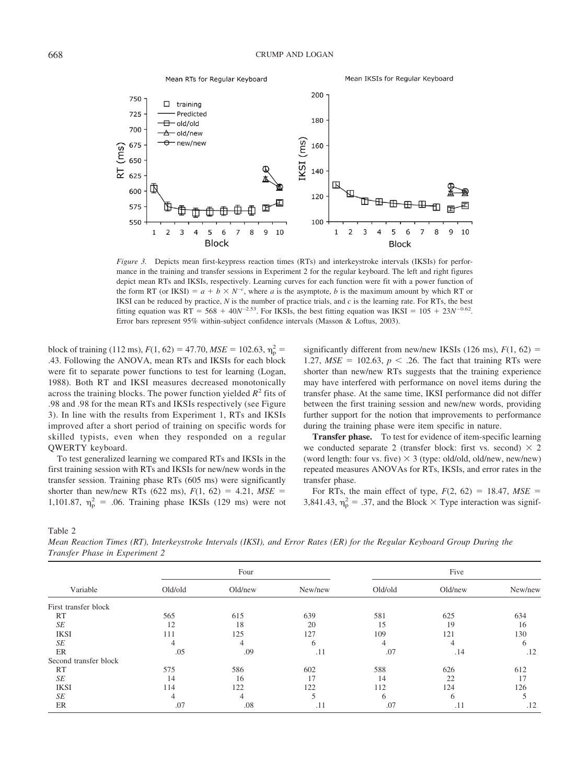Mean RTs for Regular Keyboard





*Figure 3.* Depicts mean first-keypress reaction times (RTs) and interkeystroke intervals (IKSIs) for performance in the training and transfer sessions in Experiment 2 for the regular keyboard. The left and right figures depict mean RTs and IKSIs, respectively. Learning curves for each function were fit with a power function of the form RT (or IKSI) =  $a + b \times N^{-c}$ , where *a* is the asymptote, *b* is the maximum amount by which RT or IKSI can be reduced by practice, *N* is the number of practice trials, and *c* is the learning rate. For RTs, the best fitting equation was RT =  $568 + 40N^{-2.53}$ . For IKSIs, the best fitting equation was IKSI =  $105 + 23N^{-0.62}$ . Error bars represent 95% within-subject confidence intervals (Masson & Loftus, 2003).

block of training (112 ms),  $F(1, 62) = 47.70$ ,  $MSE = 102.63$ ,  $\eta_p^2 =$ .43. Following the ANOVA, mean RTs and IKSIs for each block were fit to separate power functions to test for learning (Logan, 1988). Both RT and IKSI measures decreased monotonically across the training blocks. The power function yielded  $R^2$  fits of .98 and .98 for the mean RTs and IKSIs respectively (see Figure 3). In line with the results from Experiment 1, RTs and IKSIs improved after a short period of training on specific words for skilled typists, even when they responded on a regular QWERTY keyboard.

To test generalized learning we compared RTs and IKSIs in the first training session with RTs and IKSIs for new/new words in the transfer session. Training phase RTs (605 ms) were significantly shorter than new/new RTs (622 ms),  $F(1, 62) = 4.21$ ,  $MSE =$ 1,101.87,  $\eta_p^2 = .06$ . Training phase IKSIs (129 ms) were not

significantly different from new/new IKSIs  $(126 \text{ ms})$ ,  $F(1, 62)$  = 1.27,  $MSE = 102.63$ ,  $p < .26$ . The fact that training RTs were shorter than new/new RTs suggests that the training experience may have interfered with performance on novel items during the transfer phase. At the same time, IKSI performance did not differ between the first training session and new/new words, providing further support for the notion that improvements to performance during the training phase were item specific in nature.

**Transfer phase.** To test for evidence of item-specific learning we conducted separate 2 (transfer block: first vs. second)  $\times$  2 (word length: four vs. five)  $\times$  3 (type: old/old, old/new, new/new) repeated measures ANOVAs for RTs, IKSIs, and error rates in the transfer phase.

For RTs, the main effect of type,  $F(2, 62) = 18.47$ ,  $MSE =$ 3,841.43,  $\eta_p^2 = .37$ , and the Block  $\times$  Type interaction was signif-

Table 2

*Mean Reaction Times (RT), Interkeystroke Intervals (IKSI), and Error Rates (ER) for the Regular Keyboard Group During the Transfer Phase in Experiment 2*

| Variable              |         | Four    |         |         | Five    |         |  |
|-----------------------|---------|---------|---------|---------|---------|---------|--|
|                       | Old/old | Old/new | New/new | Old/old | Old/new | New/new |  |
| First transfer block  |         |         |         |         |         |         |  |
| RT                    | 565     | 615     | 639     | 581     | 625     | 634     |  |
| SE                    | 12      | 18      | 20      | 15      | 19      | 16      |  |
| <b>IKSI</b>           | 111     | 125     | 127     | 109     | 121     | 130     |  |
| SE                    | 4       | 4       | 6       |         | 4       | 6       |  |
| ER                    | .05     | .09     | .11     | .07     | .14     | .12     |  |
| Second transfer block |         |         |         |         |         |         |  |
| RT                    | 575     | 586     | 602     | 588     | 626     | 612     |  |
| SE                    | 14      | 16      | 17      | 14      | 22      | 17      |  |
| <b>IKSI</b>           | 114     | 122     | 122     | 112     | 124     | 126     |  |
| SE                    | 4       | 4       | 5       | 6       | 6       | 5       |  |
| ER                    | .07     | .08     | .11     | .07     | .11     | .12     |  |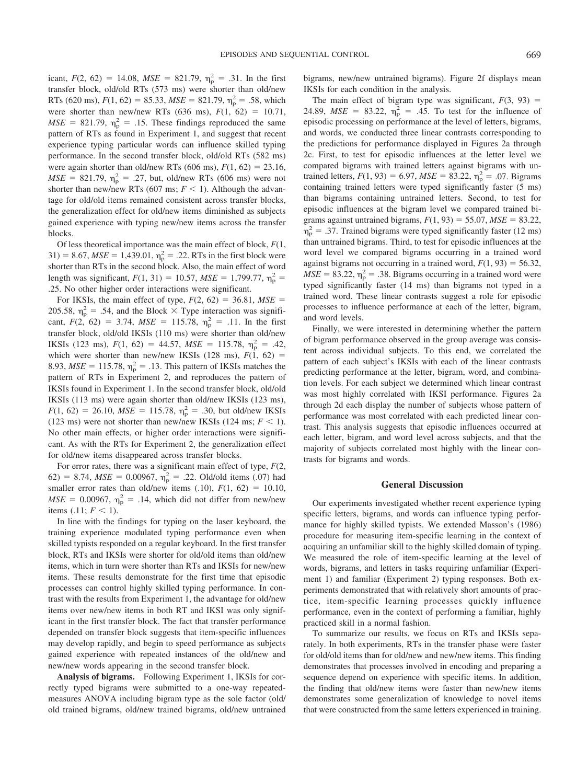icant,  $F(2, 62) = 14.08$ ,  $MSE = 821.79$ ,  $\eta_p^2 = .31$ . In the first transfer block, old/old RTs (573 ms) were shorter than old/new RTs (620 ms),  $F(1, 62) = 85.33$ ,  $MSE = 821.79$ ,  $\eta_p^2 = .58$ , which were shorter than new/new RTs (636 ms),  $F(1, 62) = 10.71$ ,  $MSE = 821.79$ ,  $\eta_p^2 = .15$ . These findings reproduced the same pattern of RTs as found in Experiment 1, and suggest that recent experience typing particular words can influence skilled typing performance. In the second transfer block, old/old RTs (582 ms) were again shorter than old/new RTs (606 ms),  $F(1, 62) = 23.16$ ,  $MSE = 821.79$ ,  $\eta_p^2 = .27$ , but, old/new RTs (606 ms) were not shorter than new/new RTs (607 ms;  $F < 1$ ). Although the advantage for old/old items remained consistent across transfer blocks, the generalization effect for old/new items diminished as subjects gained experience with typing new/new items across the transfer blocks.

Of less theoretical importance was the main effect of block, *F*(1,  $31$ ) = 8.67,  $MSE = 1,439.01$ ,  $\eta_p^2 = .22$ . RTs in the first block were shorter than RTs in the second block. Also, the main effect of word length was significant,  $F(1, 31) = 10.57$ ,  $MSE = 1,799.77$ ,  $\eta_p^2 =$ .25. No other higher order interactions were significant.

For IKSIs, the main effect of type,  $F(2, 62) = 36.81$ ,  $MSE =$ 205.58,  $\eta_p^2 = .54$ , and the Block  $\times$  Type interaction was significant,  $F(2, 62) = 3.74$ ,  $MSE = 115.78$ ,  $\eta_p^2 = .11$ . In the first transfer block, old/old IKSIs (110 ms) were shorter than old/new IKSIs (123 ms),  $F(1, 62) = 44.57$ ,  $MSE = 115.78$ ,  $\eta_p^2 = .42$ , which were shorter than new/new IKSIs (128 ms),  $F(1, 62)$  = 8.93,  $MSE = 115.78$ ,  $\eta_p^2 = .13$ . This pattern of IKSIs matches the pattern of RTs in Experiment 2, and reproduces the pattern of IKSIs found in Experiment 1. In the second transfer block, old/old IKSIs (113 ms) were again shorter than old/new IKSIs (123 ms),  $F(1, 62) = 26.10, \text{MSE} = 115.78, \eta_{\text{p}}^2 = .30, \text{ but old/new IKSIs}$ (123 ms) were not shorter than new/new IKSIs (124 ms;  $F < 1$ ). No other main effects, or higher order interactions were significant. As with the RTs for Experiment 2, the generalization effect for old/new items disappeared across transfer blocks.

For error rates, there was a significant main effect of type, *F*(2, 62) = 8.74,  $MSE = 0.00967$ ,  $\eta_p^2 = .22$ . Old/old items (.07) had smaller error rates than old/new items  $(.10)$ ,  $F(1, 62) = 10.10$ ,  $MSE = 0.00967$ ,  $\eta_p^2 = .14$ , which did not differ from new/new items  $(.11; F \le 1)$ .

In line with the findings for typing on the laser keyboard, the training experience modulated typing performance even when skilled typists responded on a regular keyboard. In the first transfer block, RTs and IKSIs were shorter for old/old items than old/new items, which in turn were shorter than RTs and IKSIs for new/new items. These results demonstrate for the first time that episodic processes can control highly skilled typing performance. In contrast with the results from Experiment 1, the advantage for old/new items over new/new items in both RT and IKSI was only significant in the first transfer block. The fact that transfer performance depended on transfer block suggests that item-specific influences may develop rapidly, and begin to speed performance as subjects gained experience with repeated instances of the old/new and new/new words appearing in the second transfer block.

**Analysis of bigrams.** Following Experiment 1, IKSIs for correctly typed bigrams were submitted to a one-way repeatedmeasures ANOVA including bigram type as the sole factor (old/ old trained bigrams, old/new trained bigrams, old/new untrained bigrams, new/new untrained bigrams). Figure 2f displays mean IKSIs for each condition in the analysis.

The main effect of bigram type was significant,  $F(3, 93) =$ 24.89,  $MSE = 83.22$ ,  $\eta_{\rm p}^2 = .45$ . To test for the influence of episodic processing on performance at the level of letters, bigrams, and words, we conducted three linear contrasts corresponding to the predictions for performance displayed in Figures 2a through 2c. First, to test for episodic influences at the letter level we compared bigrams with trained letters against bigrams with untrained letters,  $F(1, 93) = 6.97$ ,  $MSE = 83.22$ ,  $\eta_p^2 = .07$ . Bigrams containing trained letters were typed significantly faster (5 ms) than bigrams containing untrained letters. Second, to test for episodic influences at the bigram level we compared trained bigrams against untrained bigrams,  $F(1, 93) = 55.07$ ,  $MSE = 83.22$ ,  $\eta_{\rm p}^2$  = .37. Trained bigrams were typed significantly faster (12 ms) than untrained bigrams. Third, to test for episodic influences at the word level we compared bigrams occurring in a trained word against bigrams not occurring in a trained word,  $F(1, 93) = 56.32$ ,  $MSE = 83.22$ ,  $\eta_p^2 = .38$ . Bigrams occurring in a trained word were typed significantly faster (14 ms) than bigrams not typed in a trained word. These linear contrasts suggest a role for episodic processes to influence performance at each of the letter, bigram, and word levels.

Finally, we were interested in determining whether the pattern of bigram performance observed in the group average was consistent across individual subjects. To this end, we correlated the pattern of each subject's IKSIs with each of the linear contrasts predicting performance at the letter, bigram, word, and combination levels. For each subject we determined which linear contrast was most highly correlated with IKSI performance. Figures 2a through 2d each display the number of subjects whose pattern of performance was most correlated with each predicted linear contrast. This analysis suggests that episodic influences occurred at each letter, bigram, and word level across subjects, and that the majority of subjects correlated most highly with the linear contrasts for bigrams and words.

#### **General Discussion**

Our experiments investigated whether recent experience typing specific letters, bigrams, and words can influence typing performance for highly skilled typists. We extended Masson's (1986) procedure for measuring item-specific learning in the context of acquiring an unfamiliar skill to the highly skilled domain of typing. We measured the role of item-specific learning at the level of words, bigrams, and letters in tasks requiring unfamiliar (Experiment 1) and familiar (Experiment 2) typing responses. Both experiments demonstrated that with relatively short amounts of practice, item-specific learning processes quickly influence performance, even in the context of performing a familiar, highly practiced skill in a normal fashion.

To summarize our results, we focus on RTs and IKSIs separately. In both experiments, RTs in the transfer phase were faster for old/old items than for old/new and new/new items. This finding demonstrates that processes involved in encoding and preparing a sequence depend on experience with specific items. In addition, the finding that old/new items were faster than new/new items demonstrates some generalization of knowledge to novel items that were constructed from the same letters experienced in training.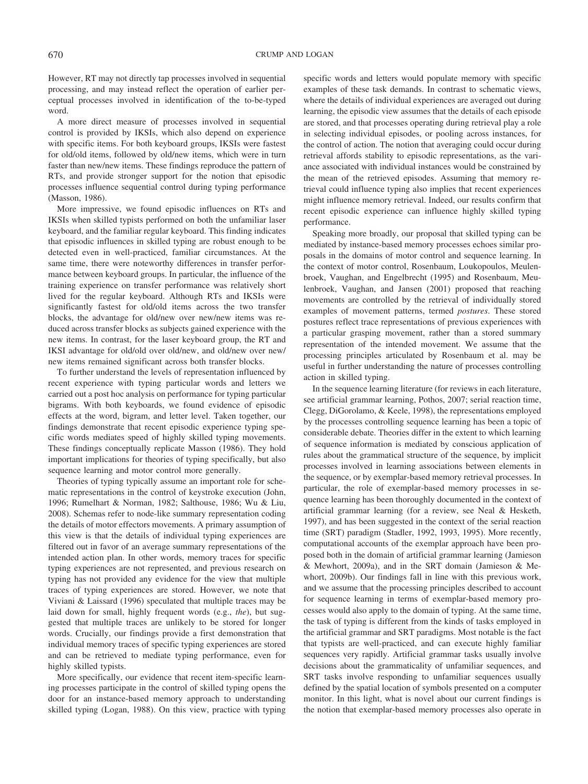However, RT may not directly tap processes involved in sequential processing, and may instead reflect the operation of earlier perceptual processes involved in identification of the to-be-typed word.

A more direct measure of processes involved in sequential control is provided by IKSIs, which also depend on experience with specific items. For both keyboard groups, IKSIs were fastest for old/old items, followed by old/new items, which were in turn faster than new/new items. These findings reproduce the pattern of RTs, and provide stronger support for the notion that episodic processes influence sequential control during typing performance (Masson, 1986).

More impressive, we found episodic influences on RTs and IKSIs when skilled typists performed on both the unfamiliar laser keyboard, and the familiar regular keyboard. This finding indicates that episodic influences in skilled typing are robust enough to be detected even in well-practiced, familiar circumstances. At the same time, there were noteworthy differences in transfer performance between keyboard groups. In particular, the influence of the training experience on transfer performance was relatively short lived for the regular keyboard. Although RTs and IKSIs were significantly fastest for old/old items across the two transfer blocks, the advantage for old/new over new/new items was reduced across transfer blocks as subjects gained experience with the new items. In contrast, for the laser keyboard group, the RT and IKSI advantage for old/old over old/new, and old/new over new/ new items remained significant across both transfer blocks.

To further understand the levels of representation influenced by recent experience with typing particular words and letters we carried out a post hoc analysis on performance for typing particular bigrams. With both keyboards, we found evidence of episodic effects at the word, bigram, and letter level. Taken together, our findings demonstrate that recent episodic experience typing specific words mediates speed of highly skilled typing movements. These findings conceptually replicate Masson (1986). They hold important implications for theories of typing specifically, but also sequence learning and motor control more generally.

Theories of typing typically assume an important role for schematic representations in the control of keystroke execution (John, 1996; Rumelhart & Norman, 1982; Salthouse, 1986; Wu & Liu, 2008). Schemas refer to node-like summary representation coding the details of motor effectors movements. A primary assumption of this view is that the details of individual typing experiences are filtered out in favor of an average summary representations of the intended action plan. In other words, memory traces for specific typing experiences are not represented, and previous research on typing has not provided any evidence for the view that multiple traces of typing experiences are stored. However, we note that Viviani & Laissard (1996) speculated that multiple traces may be laid down for small, highly frequent words (e.g., *the*), but suggested that multiple traces are unlikely to be stored for longer words. Crucially, our findings provide a first demonstration that individual memory traces of specific typing experiences are stored and can be retrieved to mediate typing performance, even for highly skilled typists.

More specifically, our evidence that recent item-specific learning processes participate in the control of skilled typing opens the door for an instance-based memory approach to understanding skilled typing (Logan, 1988). On this view, practice with typing specific words and letters would populate memory with specific examples of these task demands. In contrast to schematic views, where the details of individual experiences are averaged out during learning, the episodic view assumes that the details of each episode are stored, and that processes operating during retrieval play a role in selecting individual episodes, or pooling across instances, for the control of action. The notion that averaging could occur during retrieval affords stability to episodic representations, as the variance associated with individual instances would be constrained by the mean of the retrieved episodes. Assuming that memory retrieval could influence typing also implies that recent experiences might influence memory retrieval. Indeed, our results confirm that recent episodic experience can influence highly skilled typing performance.

Speaking more broadly, our proposal that skilled typing can be mediated by instance-based memory processes echoes similar proposals in the domains of motor control and sequence learning. In the context of motor control, Rosenbaum, Loukopoulos, Meulenbroek, Vaughan, and Engelbrecht (1995) and Rosenbaum, Meulenbroek, Vaughan, and Jansen (2001) proposed that reaching movements are controlled by the retrieval of individually stored examples of movement patterns, termed *postures*. These stored postures reflect trace representations of previous experiences with a particular grasping movement, rather than a stored summary representation of the intended movement. We assume that the processing principles articulated by Rosenbaum et al. may be useful in further understanding the nature of processes controlling action in skilled typing.

In the sequence learning literature (for reviews in each literature, see artificial grammar learning, Pothos, 2007; serial reaction time, Clegg, DiGorolamo, & Keele, 1998), the representations employed by the processes controlling sequence learning has been a topic of considerable debate. Theories differ in the extent to which learning of sequence information is mediated by conscious application of rules about the grammatical structure of the sequence, by implicit processes involved in learning associations between elements in the sequence, or by exemplar-based memory retrieval processes. In particular, the role of exemplar-based memory processes in sequence learning has been thoroughly documented in the context of artificial grammar learning (for a review, see Neal & Hesketh, 1997), and has been suggested in the context of the serial reaction time (SRT) paradigm (Stadler, 1992, 1993, 1995). More recently, computational accounts of the exemplar approach have been proposed both in the domain of artificial grammar learning (Jamieson & Mewhort, 2009a), and in the SRT domain (Jamieson & Mewhort, 2009b). Our findings fall in line with this previous work, and we assume that the processing principles described to account for sequence learning in terms of exemplar-based memory processes would also apply to the domain of typing. At the same time, the task of typing is different from the kinds of tasks employed in the artificial grammar and SRT paradigms. Most notable is the fact that typists are well-practiced, and can execute highly familiar sequences very rapidly. Artificial grammar tasks usually involve decisions about the grammaticality of unfamiliar sequences, and SRT tasks involve responding to unfamiliar sequences usually defined by the spatial location of symbols presented on a computer monitor. In this light, what is novel about our current findings is the notion that exemplar-based memory processes also operate in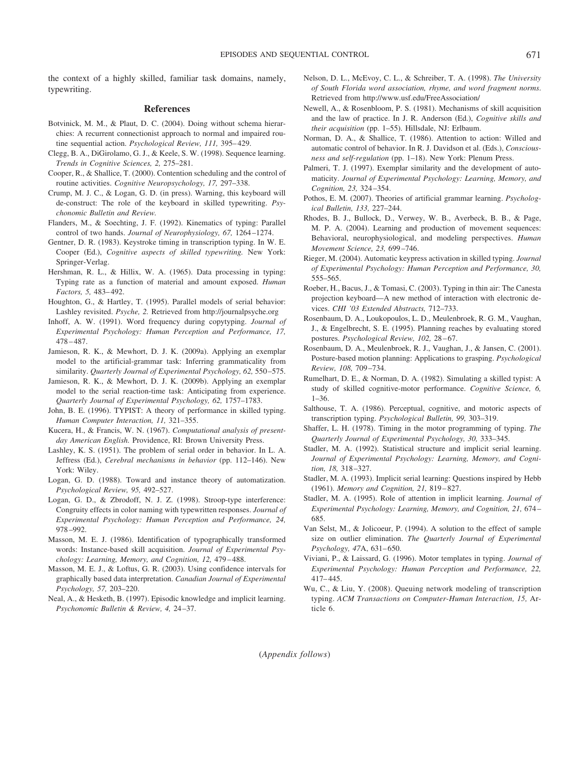the context of a highly skilled, familiar task domains, namely, typewriting.

#### **References**

- Botvinick, M. M., & Plaut, D. C. (2004). Doing without schema hierarchies: A recurrent connectionist approach to normal and impaired routine sequential action. *Psychological Review, 111*, 395–429.
- Clegg, B. A., DiGirolamo, G. J., & Keele, S. W. (1998). Sequence learning. *Trends in Cognitive Sciences, 2,* 275–281.
- Cooper, R., & Shallice, T. (2000). Contention scheduling and the control of routine activities. *Cognitive Neuropsychology, 17,* 297–338.
- Crump, M. J. C., & Logan, G. D. (in press). Warning, this keyboard will de-construct: The role of the keyboard in skilled typewriting. *Psychonomic Bulletin and Review.*
- Flanders, M., & Soechting, J. F. (1992). Kinematics of typing: Parallel control of two hands. *Journal of Neurophysiology, 67,* 1264 –1274.
- Gentner, D. R. (1983). Keystroke timing in transcription typing. In W. E. Cooper (Ed.), *Cognitive aspects of skilled typewriting.* New York: Springer-Verlag.
- Hershman, R. L., & Hillix, W. A. (1965). Data processing in typing: Typing rate as a function of material and amount exposed. *Human Factors, 5,* 483– 492.
- Houghton, G., & Hartley, T. (1995). Parallel models of serial behavior: Lashley revisited. *Psyche, 2.* Retrieved from http://journalpsyche.org
- Inhoff, A. W. (1991). Word frequency during copytyping. *Journal of Experimental Psychology: Human Perception and Performance, 17,* 478 – 487.

Jamieson, R. K., & Mewhort, D. J. K. (2009a). Applying an exemplar model to the artificial-grammar task: Inferring grammaticality from similarity. *Quarterly Journal of Experimental Psychology, 62,* 550 –575.

- Jamieson, R. K., & Mewhort, D. J. K. (2009b). Applying an exemplar model to the serial reaction-time task: Anticipating from experience. *Quarterly Journal of Experimental Psychology, 62,* 1757–1783.
- John, B. E. (1996). TYPIST: A theory of performance in skilled typing. *Human Computer Interaction, 11,* 321–355.
- Kucera, H., & Francis, W. N. (1967). *Computational analysis of presentday American English.* Providence, RI: Brown University Press.
- Lashley, K. S. (1951). The problem of serial order in behavior. In L. A. Jeffress (Ed.), *Cerebral mechanisms in behavior* (pp. 112–146). New York: Wiley.
- Logan, G. D. (1988). Toward and instance theory of automatization. *Psychological Review, 95,* 492–527.
- Logan, G. D., & Zbrodoff, N. J. Z. (1998). Stroop-type interference: Congruity effects in color naming with typewritten responses. *Journal of Experimental Psychology: Human Perception and Performance, 24,* 978 –992.
- Masson, M. E. J. (1986). Identification of typographically transformed words: Instance-based skill acquisition. *Journal of Experimental Psychology: Learning, Memory, and Cognition, 12,* 479 – 488.
- Masson, M. E. J., & Loftus, G. R. (2003). Using confidence intervals for graphically based data interpretation. *Canadian Journal of Experimental Psychology, 57,* 203–220.
- Neal, A., & Hesketh, B. (1997). Episodic knowledge and implicit learning. *Psychonomic Bulletin & Review, 4,* 24 –37.
- Nelson, D. L., McEvoy, C. L., & Schreiber, T. A. (1998). *The University of South Florida word association, rhyme, and word fragment norms*. Retrieved from http://www.usf.edu/FreeAssociation/
- Newell, A., & Rosenbloom, P. S. (1981). Mechanisms of skill acquisition and the law of practice. In J. R. Anderson (Ed.), *Cognitive skills and their acquisition* (pp. 1–55). Hillsdale, NJ: Erlbaum.
- Norman, D. A., & Shallice, T. (1986). Attention to action: Willed and automatic control of behavior. In R. J. Davidson et al. (Eds.), *Consciousness and self-regulation* (pp. 1–18). New York: Plenum Press.
- Palmeri, T. J. (1997). Exemplar similarity and the development of automaticity. *Journal of Experimental Psychology: Learning, Memory, and Cognition, 23,* 324 –354.
- Pothos, E. M. (2007). Theories of artificial grammar learning. *Psychological Bulletin, 133,* 227–244.
- Rhodes, B. J., Bullock, D., Verwey, W. B., Averbeck, B. B., & Page, M. P. A. (2004). Learning and production of movement sequences: Behavioral, neurophysiological, and modeling perspectives. *Human Movement Science, 23,* 699 –746.
- Rieger, M. (2004). Automatic keypress activation in skilled typing. *Journal of Experimental Psychology: Human Perception and Performance, 30,* 555–565.
- Roeber, H., Bacus, J., & Tomasi, C. (2003). Typing in thin air: The Canesta projection keyboard—A new method of interaction with electronic devices. *CHI '03 Extended Abstracts,* 712–733.
- Rosenbaum, D. A., Loukopoulos, L. D., Meulenbroek, R. G. M., Vaughan, J., & Engelbrecht, S. E. (1995). Planning reaches by evaluating stored postures. Psychological Review, 102, 28-67.
- Rosenbaum, D. A., Meulenbroek, R. J., Vaughan, J., & Jansen, C. (2001). Posture-based motion planning: Applications to grasping. *Psychological Review, 108,* 709 –734.
- Rumelhart, D. E., & Norman, D. A. (1982). Simulating a skilled typist: A study of skilled cognitive-motor performance. *Cognitive Science, 6,* 1–36.
- Salthouse, T. A. (1986). Perceptual, cognitive, and motoric aspects of transcription typing. *Psychological Bulletin, 99,* 303–319.
- Shaffer, L. H. (1978). Timing in the motor programming of typing. *The Quarterly Journal of Experimental Psychology, 30,* 333–345.
- Stadler, M. A. (1992). Statistical structure and implicit serial learning. *Journal of Experimental Psychology: Learning, Memory, and Cognition, 18,* 318 –327.
- Stadler, M. A. (1993). Implicit serial learning: Questions inspired by Hebb (1961). *Memory and Cognition, 21,* 819 – 827.
- Stadler, M. A. (1995). Role of attention in implicit learning. *Journal of Experimental Psychology: Learning, Memory, and Cognition, 21,* 674 – 685.
- Van Selst, M., & Jolicoeur, P. (1994). A solution to the effect of sample size on outlier elimination. *The Quarterly Journal of Experimental Psychology, 47*A, 631– 650.
- Viviani, P., & Laissard, G. (1996). Motor templates in typing. *Journal of Experimental Psychology: Human Perception and Performance, 22,* 417– 445.
- Wu, C., & Liu, Y. (2008). Queuing network modeling of transcription typing. *ACM Transactions on Computer-Human Interaction, 15,* Article 6.

(*Appendix follows*)